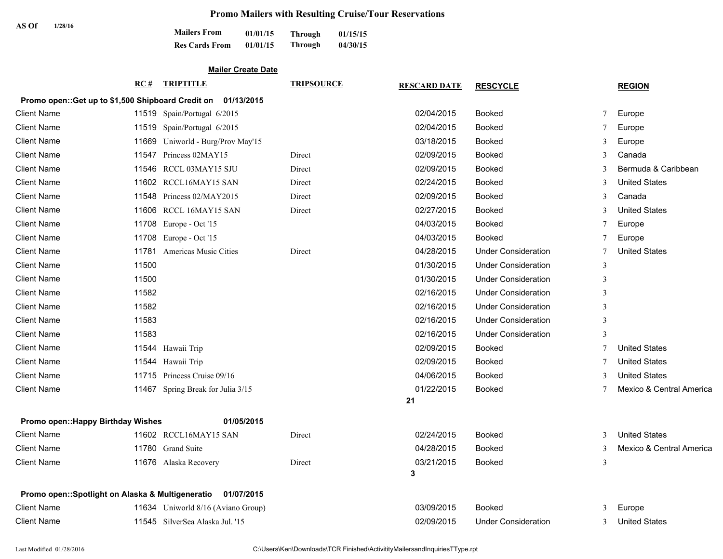# **Promo Mailers with Resulting Cruise/Tour Reservations**

| AS Of |         |                       | Tromo Manoro With Resulting Crubbs |         |          |
|-------|---------|-----------------------|------------------------------------|---------|----------|
|       | 1/28/16 | <b>Mailers From</b>   | 01/01/15                           | Through | 01/15/15 |
|       |         | <b>Res Cards From</b> | 01/01/15                           | Through | 04/30/15 |

## **Mailer Create Date**

|                                                    | RC#   | <b>TRIPTITLE</b>                   | <b>TRIPSOURCE</b> | <b>RESCARD DATE</b> | <b>RESCYCLE</b>            |              | <b>REGION</b>            |
|----------------------------------------------------|-------|------------------------------------|-------------------|---------------------|----------------------------|--------------|--------------------------|
| Promo open:: Get up to \$1,500 Shipboard Credit on |       | 01/13/2015                         |                   |                     |                            |              |                          |
| <b>Client Name</b>                                 |       | 11519 Spain/Portugal 6/2015        |                   | 02/04/2015          | <b>Booked</b>              | 7            | Europe                   |
| <b>Client Name</b>                                 |       | 11519 Spain/Portugal 6/2015        |                   | 02/04/2015          | <b>Booked</b>              | 7            | Europe                   |
| <b>Client Name</b>                                 |       | 11669 Uniworld - Burg/Prov May'15  |                   | 03/18/2015          | Booked                     | 3            | Europe                   |
| <b>Client Name</b>                                 |       | 11547 Princess 02MAY15             | Direct            | 02/09/2015          | <b>Booked</b>              | 3            | Canada                   |
| <b>Client Name</b>                                 |       | 11546 RCCL 03MAY15 SJU             | Direct            | 02/09/2015          | <b>Booked</b>              | 3            | Bermuda & Caribbean      |
| <b>Client Name</b>                                 |       | 11602 RCCL16MAY15 SAN              | Direct            | 02/24/2015          | <b>Booked</b>              | 3            | <b>United States</b>     |
| <b>Client Name</b>                                 |       | 11548 Princess 02/MAY2015          | Direct            | 02/09/2015          | Booked                     | 3            | Canada                   |
| <b>Client Name</b>                                 |       | 11606 RCCL 16MAY15 SAN             | Direct            | 02/27/2015          | <b>Booked</b>              | 3            | <b>United States</b>     |
| <b>Client Name</b>                                 |       | 11708 Europe - Oct '15             |                   | 04/03/2015          | <b>Booked</b>              | 7            | Europe                   |
| <b>Client Name</b>                                 |       | 11708 Europe - Oct '15             |                   | 04/03/2015          | <b>Booked</b>              | 7            | Europe                   |
| <b>Client Name</b>                                 |       | 11781 Americas Music Cities        | Direct            | 04/28/2015          | <b>Under Consideration</b> | 7            | <b>United States</b>     |
| <b>Client Name</b>                                 | 11500 |                                    |                   | 01/30/2015          | <b>Under Consideration</b> | 3            |                          |
| <b>Client Name</b>                                 | 11500 |                                    |                   | 01/30/2015          | <b>Under Consideration</b> | 3            |                          |
| <b>Client Name</b>                                 | 11582 |                                    |                   | 02/16/2015          | <b>Under Consideration</b> | 3            |                          |
| <b>Client Name</b>                                 | 11582 |                                    |                   | 02/16/2015          | <b>Under Consideration</b> | 3            |                          |
| <b>Client Name</b>                                 | 11583 |                                    |                   | 02/16/2015          | <b>Under Consideration</b> | 3            |                          |
| <b>Client Name</b>                                 | 11583 |                                    |                   | 02/16/2015          | <b>Under Consideration</b> | 3            |                          |
| <b>Client Name</b>                                 |       | 11544 Hawaii Trip                  |                   | 02/09/2015          | <b>Booked</b>              | $\tau$       | <b>United States</b>     |
| <b>Client Name</b>                                 |       | 11544 Hawaii Trip                  |                   | 02/09/2015          | <b>Booked</b>              |              | <b>United States</b>     |
| <b>Client Name</b>                                 |       | 11715 Princess Cruise 09/16        |                   | 04/06/2015          | <b>Booked</b>              | $\mathbf{3}$ | <b>United States</b>     |
| <b>Client Name</b>                                 |       | 11467 Spring Break for Julia 3/15  |                   | 01/22/2015          | <b>Booked</b>              | 7            | Mexico & Central America |
|                                                    |       |                                    |                   | 21                  |                            |              |                          |
| Promo open:: Happy Birthday Wishes                 |       | 01/05/2015                         |                   |                     |                            |              |                          |
| <b>Client Name</b>                                 |       | 11602 RCCL16MAY15 SAN              | Direct            | 02/24/2015          | <b>Booked</b>              | 3            | <b>United States</b>     |
| <b>Client Name</b>                                 |       | 11780 Grand Suite                  |                   | 04/28/2015          | <b>Booked</b>              | 3            | Mexico & Central America |
| <b>Client Name</b>                                 |       | 11676 Alaska Recovery              | Direct            | 03/21/2015<br>3     | <b>Booked</b>              | 3            |                          |
| Promo open:: Spotlight on Alaska & Multigeneratio  |       | 01/07/2015                         |                   |                     |                            |              |                          |
| <b>Client Name</b>                                 |       | 11634 Uniworld 8/16 (Aviano Group) |                   | 03/09/2015          | Booked                     | 3            | Europe                   |
| Client Name                                        |       | 11545 SilverSea Alaska Jul. '15    |                   | 02/09/2015          | <b>Under Consideration</b> | 3            | <b>United States</b>     |
|                                                    |       |                                    |                   |                     |                            |              |                          |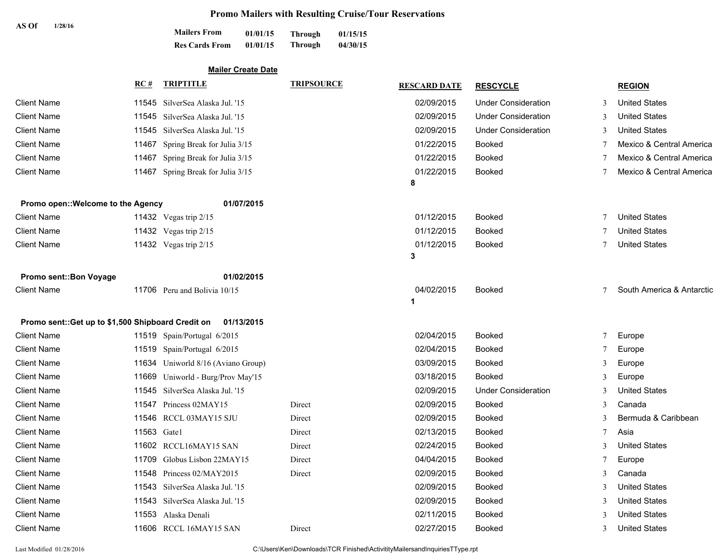# **Promo Mailers with Resulting Cruise/Tour Reservations**

| AS Of<br>1/28/16                                   | <b>Mailers From</b><br>01/01/15<br>01/01/15<br><b>Res Cards From</b> | 01/15/15<br><b>Through</b><br>04/30/15<br><b>Through</b> |                     |                            |   |                           |  |  |
|----------------------------------------------------|----------------------------------------------------------------------|----------------------------------------------------------|---------------------|----------------------------|---|---------------------------|--|--|
| <b>Mailer Create Date</b>                          |                                                                      |                                                          |                     |                            |   |                           |  |  |
|                                                    | <b>TRIPTITLE</b><br>RC#                                              | <b>TRIPSOURCE</b>                                        | <b>RESCARD DATE</b> | <b>RESCYCLE</b>            |   | <b>REGION</b>             |  |  |
| <b>Client Name</b>                                 | 11545 SilverSea Alaska Jul. '15                                      |                                                          | 02/09/2015          | <b>Under Consideration</b> |   | <b>United States</b>      |  |  |
| <b>Client Name</b>                                 | 11545 SilverSea Alaska Jul. '15                                      |                                                          | 02/09/2015          | <b>Under Consideration</b> |   | <b>United States</b>      |  |  |
| <b>Client Name</b>                                 | SilverSea Alaska Jul. '15<br>11545                                   |                                                          | 02/09/2015          | <b>Under Consideration</b> |   | <b>United States</b>      |  |  |
| <b>Client Name</b>                                 | Spring Break for Julia 3/15<br>11467                                 |                                                          | 01/22/2015          | Booked                     |   | Mexico & Central America  |  |  |
| <b>Client Name</b>                                 | 11467<br>Spring Break for Julia 3/15                                 |                                                          | 01/22/2015          | <b>Booked</b>              |   | Mexico & Central America  |  |  |
| <b>Client Name</b>                                 | 11467<br>Spring Break for Julia 3/15                                 |                                                          | 01/22/2015          | <b>Booked</b>              |   | Mexico & Central America  |  |  |
|                                                    |                                                                      |                                                          | 8                   |                            |   |                           |  |  |
| Promo open:: Welcome to the Agency                 | 01/07/2015                                                           |                                                          |                     |                            |   |                           |  |  |
| <b>Client Name</b>                                 | 11432 Vegas trip 2/15                                                |                                                          | 01/12/2015          | <b>Booked</b>              |   | <b>United States</b>      |  |  |
| <b>Client Name</b>                                 | 11432 Vegas trip 2/15                                                |                                                          | 01/12/2015          | <b>Booked</b>              |   | <b>United States</b>      |  |  |
| <b>Client Name</b>                                 | 11432 Vegas trip 2/15                                                |                                                          | 01/12/2015          | <b>Booked</b>              |   | <b>United States</b>      |  |  |
|                                                    |                                                                      |                                                          | 3                   |                            |   |                           |  |  |
| Promo sent:: Bon Voyage                            | 01/02/2015                                                           |                                                          |                     |                            |   |                           |  |  |
| <b>Client Name</b>                                 | 11706 Peru and Bolivia 10/15                                         |                                                          | 04/02/2015          | <b>Booked</b>              |   | South America & Antarctic |  |  |
|                                                    |                                                                      |                                                          | 1                   |                            |   |                           |  |  |
| Promo sent:: Get up to \$1,500 Shipboard Credit on | 01/13/2015                                                           |                                                          |                     |                            |   |                           |  |  |
| <b>Client Name</b>                                 | 11519 Spain/Portugal 6/2015                                          |                                                          | 02/04/2015          | <b>Booked</b>              | 7 | Europe                    |  |  |
| <b>Client Name</b>                                 | 11519 Spain/Portugal 6/2015                                          |                                                          | 02/04/2015          | <b>Booked</b>              |   | Europe                    |  |  |
| <b>Client Name</b>                                 | 11634 Uniworld 8/16 (Aviano Group)                                   |                                                          | 03/09/2015          | <b>Booked</b>              | 3 | Europe                    |  |  |
| <b>Client Name</b>                                 | 11669<br>Uniworld - Burg/Prov May'15                                 |                                                          | 03/18/2015          | Booked                     |   | Europe                    |  |  |
| <b>Client Name</b>                                 | 11545 SilverSea Alaska Jul. '15                                      |                                                          | 02/09/2015          | <b>Under Consideration</b> | 3 | <b>United States</b>      |  |  |
| <b>Client Name</b>                                 | 11547 Princess 02MAY15                                               | Direct                                                   | 02/09/2015          | <b>Booked</b>              | 3 | Canada                    |  |  |
| <b>Client Name</b>                                 | 11546 RCCL 03MAY15 SJU                                               | Direct                                                   | 02/09/2015          | <b>Booked</b>              | 3 | Bermuda & Caribbean       |  |  |
| <b>Client Name</b>                                 | 11563 Gate1                                                          | Direct                                                   | 02/13/2015          | Booked                     |   | Asia                      |  |  |
| <b>Client Name</b>                                 | 11602 RCCL16MAY15 SAN                                                | Direct                                                   | 02/24/2015          | Booked                     | 3 | <b>United States</b>      |  |  |
| <b>Client Name</b>                                 | 11709 Globus Lisbon 22MAY15                                          | Direct                                                   | 04/04/2015          | <b>Booked</b>              |   | Europe                    |  |  |
| <b>Client Name</b>                                 | 11548 Princess 02/MAY2015                                            | Direct                                                   | 02/09/2015          | <b>Booked</b>              | 3 | Canada                    |  |  |
| <b>Client Name</b>                                 | 11543 SilverSea Alaska Jul. '15                                      |                                                          | 02/09/2015          | <b>Booked</b>              |   | <b>United States</b>      |  |  |
| <b>Client Name</b>                                 | 11543 SilverSea Alaska Jul. '15                                      |                                                          | 02/09/2015          | <b>Booked</b>              |   | <b>United States</b>      |  |  |
| <b>Client Name</b>                                 | 11553 Alaska Denali                                                  |                                                          | 02/11/2015          | <b>Booked</b>              |   | <b>United States</b>      |  |  |
| <b>Client Name</b>                                 | 11606 RCCL 16MAY15 SAN                                               | Direct                                                   | 02/27/2015          | <b>Booked</b>              | 3 | <b>United States</b>      |  |  |